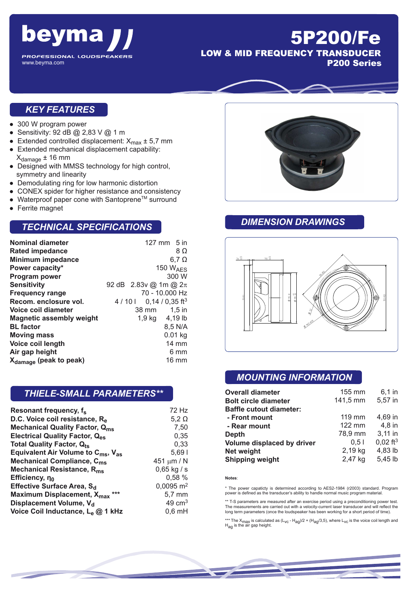

## 5P200/Fe LOW & MID FREQUENCY TRANSDUCER

www.beyma.com

P200 Series

#### *KEY FEATURES*

- 300 W program power
- Sensitivity: 92 dB  $@$  2,83 V  $@$  1 m
- Extended controlled displacement:  $X_{\text{max}} \pm 5.7 \text{ mm}$ <br>■ Extended mechanical displacement capability:
- Extended mechanical displacement capability:  $X_{\text{damage}} \pm 16$  mm
- Designed with MMSS technology for high control, symmetry and linearity
- Demodulating ring for low harmonic distortion
- CONEX spider for higher resistance and consistency
- Waterproof paper cone with Santoprene™ surround
- Ferrite magnet

#### *TECHNICAL SPECIFICATIONS*

| <b>Nominal diameter</b>            |       | $127$ mm $5$ in             |                      |
|------------------------------------|-------|-----------------------------|----------------------|
| <b>Rated impedance</b>             |       |                             | 8Ω                   |
| <b>Minimum impedance</b>           |       |                             | $6,7 \Omega$         |
| Power capacity*                    |       |                             | 150 $W_{\text{AFS}}$ |
| Program power                      |       |                             | 300 W                |
| <b>Sensitivity</b>                 |       | 92 dB 2.83v @ 1m @ $2\pi$   |                      |
| <b>Frequency range</b>             |       | 70 - 10.000 Hz              |                      |
| Recom. enclosure vol.              | 4/101 | $0,14/0,35$ ft <sup>3</sup> |                      |
| Voice coil diameter                |       | 38 mm                       | $1.5$ in             |
| <b>Magnetic assembly weight</b>    |       | 1,9 kg 4,19 lb              |                      |
| <b>BL</b> factor                   |       |                             | 8,5 N/A              |
| <b>Moving mass</b>                 |       |                             | $0.01$ kg            |
| Voice coil length                  |       |                             | $14 \text{ mm}$      |
| Air gap height                     |       |                             | 6 mm                 |
| X <sub>damage</sub> (peak to peak) |       |                             | 16 mm                |

#### *THIELE-SMALL PARAMETERS\*\**

| Resonant frequency, f <sub>s</sub>                         | 72 Hz                   |
|------------------------------------------------------------|-------------------------|
| D.C. Voice coil resistance, Re                             | $5,2 \Omega$            |
| <b>Mechanical Quality Factor, Qms</b>                      | 7,50                    |
| <b>Electrical Quality Factor, Q<sub>es</sub></b>           | 0,35                    |
| <b>Total Quality Factor, Qts</b>                           | 0,33                    |
| Equivalent Air Volume to $C_{\text{ms}}$ , $V_{\text{as}}$ | 5,691                   |
| Mechanical Compliance, C <sub>ms</sub>                     | 451 $\mu$ m / N         |
| Mechanical Resistance, R <sub>ms</sub>                     | $0,65$ kg / s           |
| Efficiency, no                                             | 0,58 %                  |
| Effective Surface Area, S <sub>d</sub>                     | $0,0095$ m <sup>2</sup> |
| Maximum Displacement, X <sub>max</sub> ***                 | $5,7 \text{ mm}$        |
| Displacement Volume, V <sub>d</sub>                        | 49 $cm3$                |
| Voice Coil Inductance, L <sub>e</sub> @ 1 kHz              | $0,6$ mH                |



#### *DIMENSION DRAWINGS*



### *MOUNTING INFORMATION*

| <b>Overall diameter</b>        | 155 mm   | $6,1$ in               |
|--------------------------------|----------|------------------------|
| <b>Bolt circle diameter</b>    | 141,5 mm | 5,57 in                |
| <b>Baffle cutout diameter:</b> |          |                        |
| - Front mount                  | $119$ mm | 4,69 in                |
| - Rear mount                   | 122 mm   | 4,8 in                 |
| <b>Depth</b>                   | 78,9 mm  | $3,11$ in              |
| Volume displaced by driver     | 0.51     | $0,02$ ft <sup>3</sup> |
| <b>Net weight</b>              | 2,19 kg  | 4,83 lb                |
| <b>Shipping weight</b>         | 2,47 kg  | 5,45 lb                |

#### **Notes**:

\* The power capaticty is determined according to AES2-1984 (r2003) standard. Program power is defined as the transducer's ability to handle normal music program material.

\*\* T-S parameters are measured after an exercise period using a preconditioning power test. The measurements are carried out with a velocity-current laser transducer and will reflect the long term parameters (once the loudspeaker has been working for a short period of time).

\*\*\* The X<sub>max</sub> is calculated as (L<sub>VC</sub> - H<sub>ag</sub>)/2 + (H<sub>ag</sub>/3,5), where L<sub>VC</sub> is the voice coil length and<br>H<sub>ag</sub> is the air gap height.